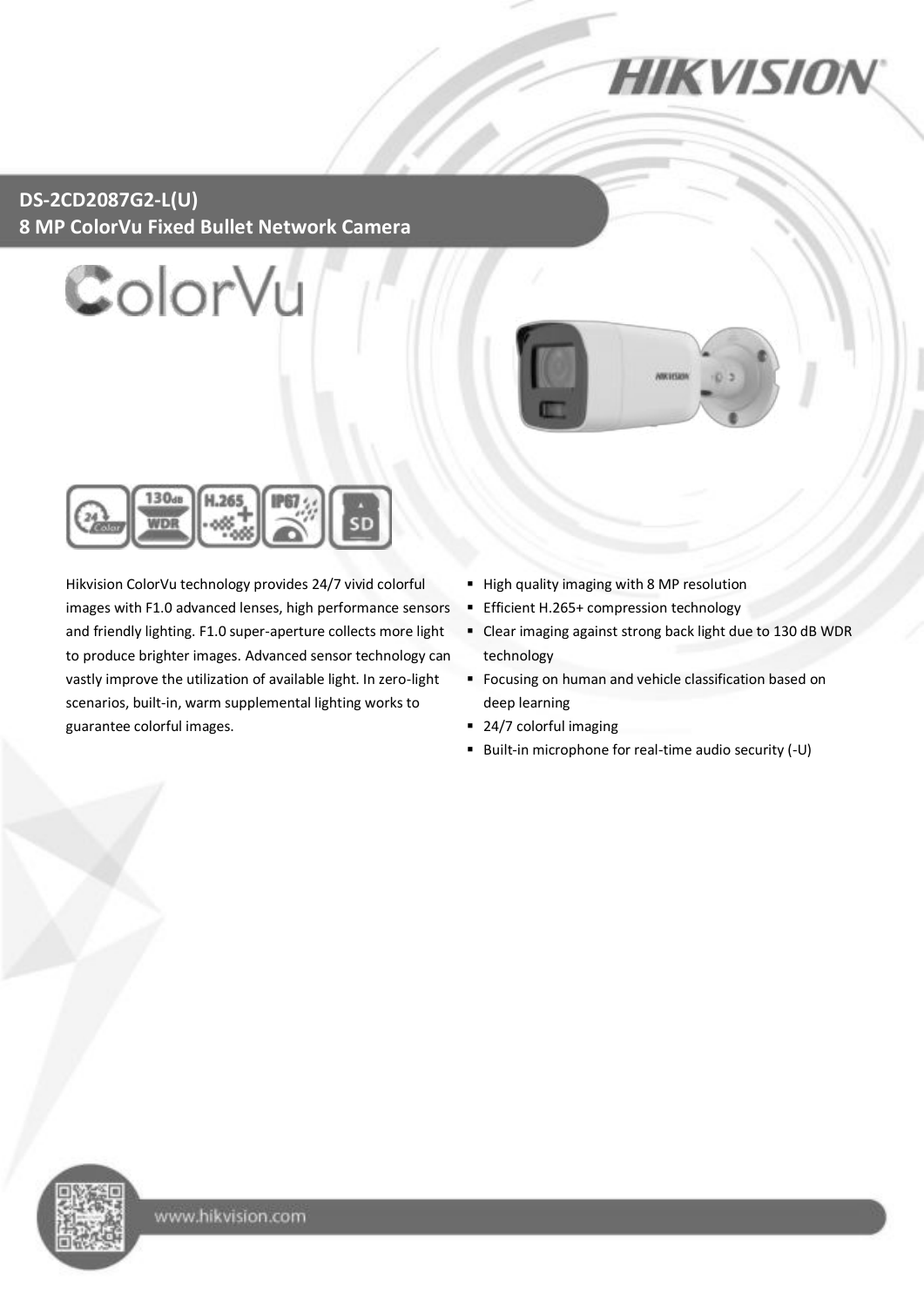**HIKVISION** 

#### **DS-2CD2087G2-L(U) 8 MP ColorVu Fixed Bullet Network Camera**







Hikvision ColorVu technology provides 24/7 vivid colorful images with F1.0 advanced lenses, high performance sensors and friendly lighting. F1.0 super-aperture collects more light to produce brighter images. Advanced sensor technology can vastly improve the utilization of available light. In zero-light scenarios, built-in, warm supplemental lighting works to guarantee colorful images.

- High quality imaging with 8 MP resolution
- **Efficient H.265+ compression technology**
- Clear imaging against strong back light due to 130 dB WDR technology
- **Focusing on human and vehicle classification based on** deep learning
- 24/7 colorful imaging
- Built-in microphone for real-time audio security (-U)

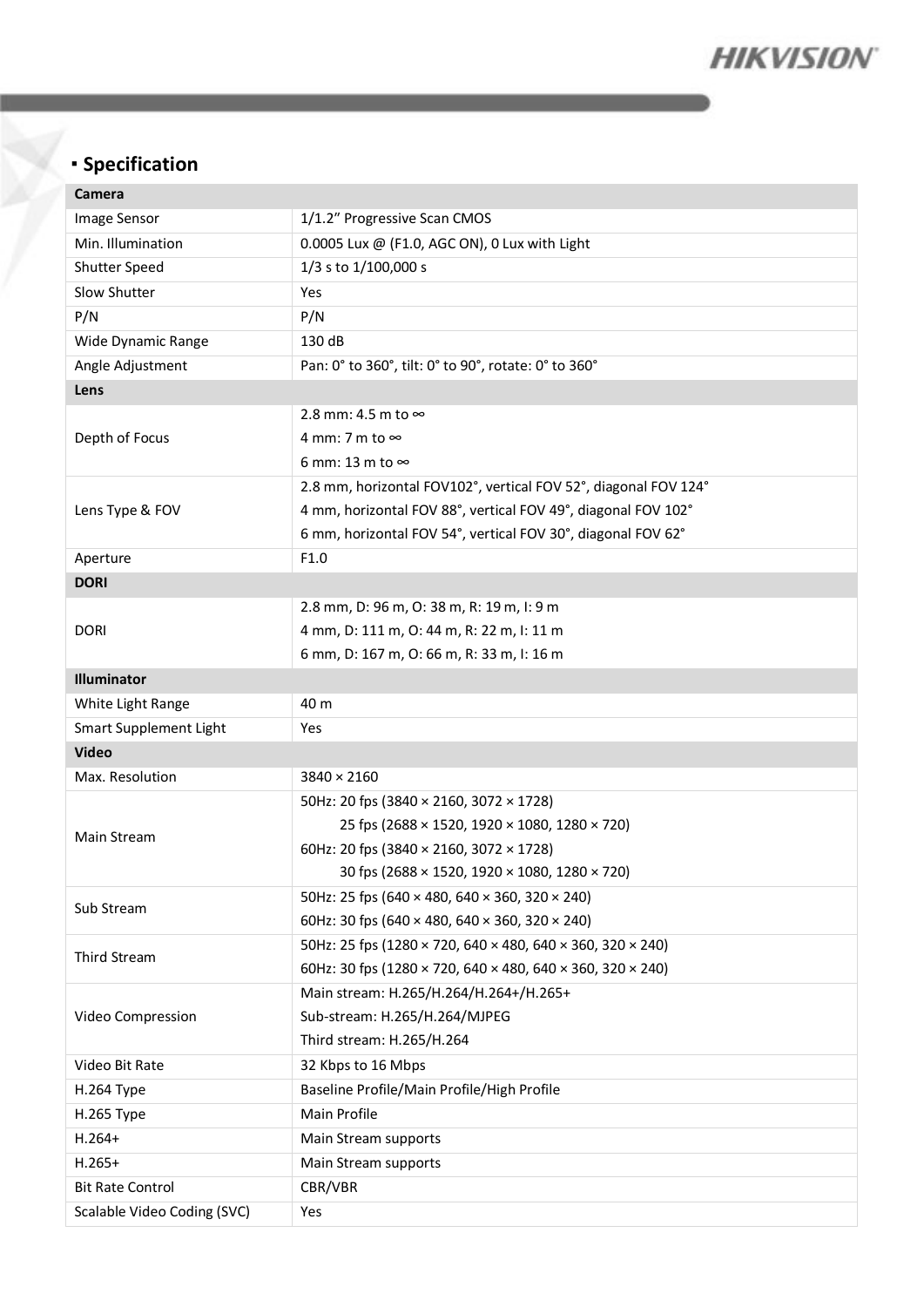

# **Specification**

| Camera                      |                                                                     |  |  |
|-----------------------------|---------------------------------------------------------------------|--|--|
| Image Sensor                | 1/1.2" Progressive Scan CMOS                                        |  |  |
| Min. Illumination           | 0.0005 Lux @ (F1.0, AGC ON), 0 Lux with Light                       |  |  |
| Shutter Speed               | 1/3 s to 1/100,000 s                                                |  |  |
| Slow Shutter                | Yes                                                                 |  |  |
| P/N                         | P/N                                                                 |  |  |
| Wide Dynamic Range          | 130 dB                                                              |  |  |
| Angle Adjustment            | Pan: 0° to 360°, tilt: 0° to 90°, rotate: 0° to 360°                |  |  |
| Lens                        |                                                                     |  |  |
|                             | 2.8 mm: 4.5 m to $\infty$                                           |  |  |
| Depth of Focus              | 4 mm: 7 m to $\infty$                                               |  |  |
|                             | 6 mm: 13 m to $\infty$                                              |  |  |
|                             | 2.8 mm, horizontal FOV102°, vertical FOV 52°, diagonal FOV 124°     |  |  |
| Lens Type & FOV             | 4 mm, horizontal FOV 88°, vertical FOV 49°, diagonal FOV 102°       |  |  |
|                             | 6 mm, horizontal FOV 54°, vertical FOV 30°, diagonal FOV 62°        |  |  |
| Aperture                    | F1.0                                                                |  |  |
| <b>DORI</b>                 |                                                                     |  |  |
|                             | 2.8 mm, D: 96 m, O: 38 m, R: 19 m, I: 9 m                           |  |  |
| <b>DORI</b>                 | 4 mm, D: 111 m, O: 44 m, R: 22 m, I: 11 m                           |  |  |
|                             | 6 mm, D: 167 m, O: 66 m, R: 33 m, I: 16 m                           |  |  |
| Illuminator                 |                                                                     |  |  |
| White Light Range           | 40 m                                                                |  |  |
| Smart Supplement Light      | Yes                                                                 |  |  |
| <b>Video</b>                |                                                                     |  |  |
| Max. Resolution             | $3840 \times 2160$                                                  |  |  |
|                             | 50Hz: 20 fps (3840 × 2160, 3072 × 1728)                             |  |  |
| Main Stream                 | 25 fps (2688 × 1520, 1920 × 1080, 1280 × 720)                       |  |  |
|                             | 60Hz: 20 fps (3840 × 2160, 3072 × 1728)                             |  |  |
|                             | 30 fps (2688 × 1520, 1920 × 1080, 1280 × 720)                       |  |  |
| Sub Stream                  | 50Hz: 25 fps (640 × 480, 640 × 360, 320 × 240)                      |  |  |
|                             | 60Hz: 30 fps (640 $\times$ 480, 640 $\times$ 360, 320 $\times$ 240) |  |  |
| Third Stream                | 50Hz: 25 fps (1280 × 720, 640 × 480, 640 × 360, 320 × 240)          |  |  |
|                             | 60Hz: 30 fps (1280 × 720, 640 × 480, 640 × 360, 320 × 240)          |  |  |
|                             | Main stream: H.265/H.264/H.264+/H.265+                              |  |  |
| Video Compression           | Sub-stream: H.265/H.264/MJPEG                                       |  |  |
|                             | Third stream: H.265/H.264                                           |  |  |
| Video Bit Rate              | 32 Kbps to 16 Mbps                                                  |  |  |
| H.264 Type                  | Baseline Profile/Main Profile/High Profile                          |  |  |
| H.265 Type                  | Main Profile                                                        |  |  |
| $H.264+$                    | Main Stream supports                                                |  |  |
| $H.265+$                    | Main Stream supports                                                |  |  |
| <b>Bit Rate Control</b>     | CBR/VBR                                                             |  |  |
| Scalable Video Coding (SVC) | Yes                                                                 |  |  |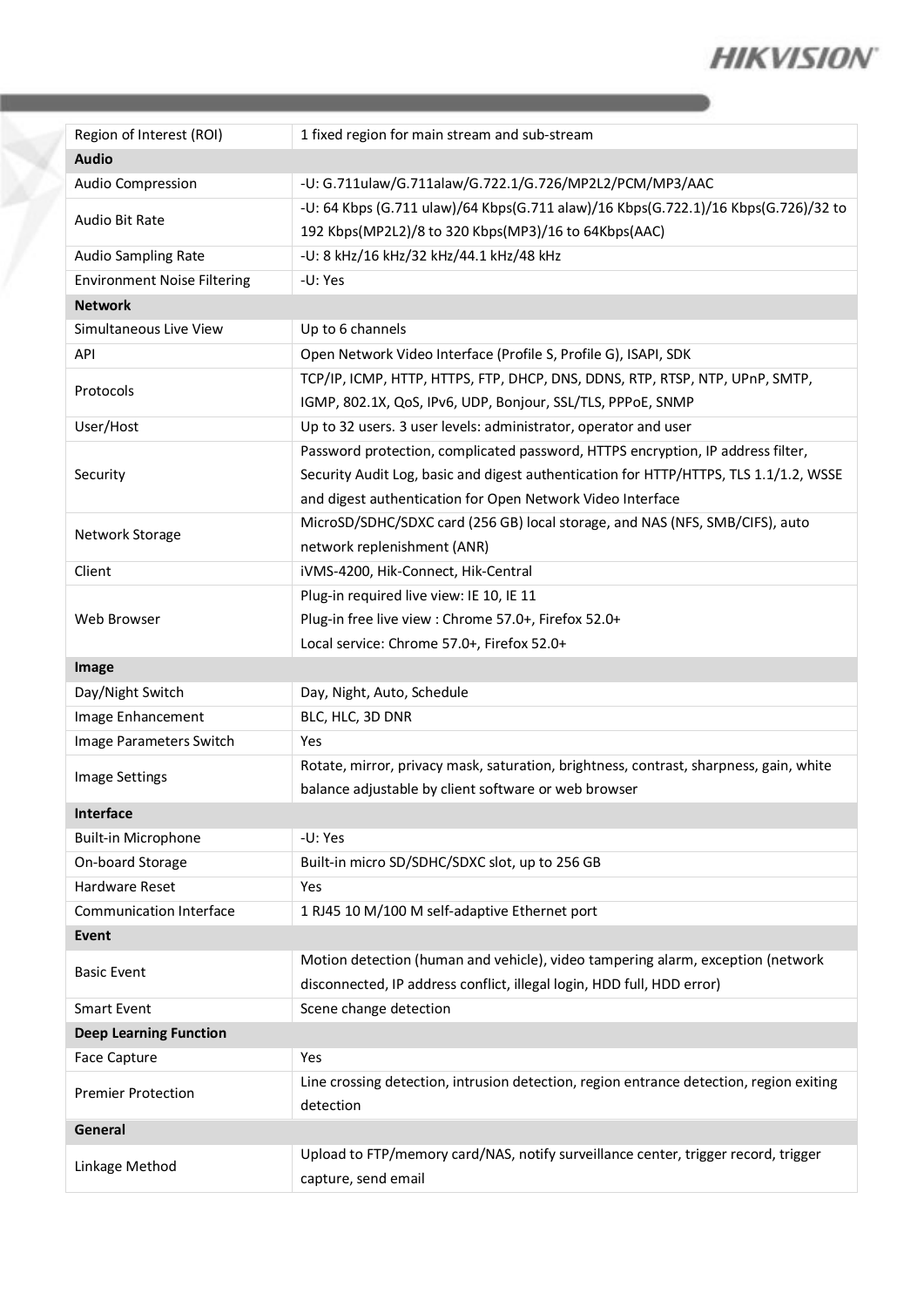

| Region of Interest (ROI)           | 1 fixed region for main stream and sub-stream                                                        |  |  |
|------------------------------------|------------------------------------------------------------------------------------------------------|--|--|
| <b>Audio</b>                       |                                                                                                      |  |  |
| Audio Compression                  | -U: G.711ulaw/G.711alaw/G.722.1/G.726/MP2L2/PCM/MP3/AAC                                              |  |  |
| <b>Audio Bit Rate</b>              | -U: 64 Kbps (G.711 ulaw)/64 Kbps(G.711 alaw)/16 Kbps(G.722.1)/16 Kbps(G.726)/32 to                   |  |  |
|                                    | 192 Kbps(MP2L2)/8 to 320 Kbps(MP3)/16 to 64Kbps(AAC)                                                 |  |  |
| Audio Sampling Rate                | -U: 8 kHz/16 kHz/32 kHz/44.1 kHz/48 kHz                                                              |  |  |
| <b>Environment Noise Filtering</b> | -U: Yes                                                                                              |  |  |
| <b>Network</b>                     |                                                                                                      |  |  |
| Simultaneous Live View             | Up to 6 channels                                                                                     |  |  |
| API                                | Open Network Video Interface (Profile S, Profile G), ISAPI, SDK                                      |  |  |
| Protocols                          | TCP/IP, ICMP, HTTP, HTTPS, FTP, DHCP, DNS, DDNS, RTP, RTSP, NTP, UPnP, SMTP,                         |  |  |
|                                    | IGMP, 802.1X, QoS, IPv6, UDP, Bonjour, SSL/TLS, PPPoE, SNMP                                          |  |  |
| User/Host                          | Up to 32 users. 3 user levels: administrator, operator and user                                      |  |  |
|                                    | Password protection, complicated password, HTTPS encryption, IP address filter,                      |  |  |
| Security                           | Security Audit Log, basic and digest authentication for HTTP/HTTPS, TLS 1.1/1.2, WSSE                |  |  |
|                                    | and digest authentication for Open Network Video Interface                                           |  |  |
| Network Storage                    | MicroSD/SDHC/SDXC card (256 GB) local storage, and NAS (NFS, SMB/CIFS), auto                         |  |  |
|                                    | network replenishment (ANR)                                                                          |  |  |
| Client                             | iVMS-4200, Hik-Connect, Hik-Central                                                                  |  |  |
|                                    | Plug-in required live view: IE 10, IE 11                                                             |  |  |
| Web Browser                        | Plug-in free live view : Chrome 57.0+, Firefox 52.0+                                                 |  |  |
|                                    | Local service: Chrome 57.0+, Firefox 52.0+                                                           |  |  |
|                                    |                                                                                                      |  |  |
| Image                              |                                                                                                      |  |  |
| Day/Night Switch                   | Day, Night, Auto, Schedule                                                                           |  |  |
| Image Enhancement                  | BLC, HLC, 3D DNR                                                                                     |  |  |
| Image Parameters Switch            | Yes                                                                                                  |  |  |
|                                    | Rotate, mirror, privacy mask, saturation, brightness, contrast, sharpness, gain, white               |  |  |
| Image Settings                     | balance adjustable by client software or web browser                                                 |  |  |
| Interface                          |                                                                                                      |  |  |
| <b>Built-in Microphone</b>         | -U: Yes                                                                                              |  |  |
| On-board Storage                   | Built-in micro SD/SDHC/SDXC slot, up to 256 GB                                                       |  |  |
| Hardware Reset                     | Yes                                                                                                  |  |  |
| <b>Communication Interface</b>     | 1 RJ45 10 M/100 M self-adaptive Ethernet port                                                        |  |  |
| <b>Event</b>                       |                                                                                                      |  |  |
|                                    | Motion detection (human and vehicle), video tampering alarm, exception (network                      |  |  |
| <b>Basic Event</b>                 | disconnected, IP address conflict, illegal login, HDD full, HDD error)                               |  |  |
| <b>Smart Event</b>                 | Scene change detection                                                                               |  |  |
| <b>Deep Learning Function</b>      |                                                                                                      |  |  |
| Face Capture                       | Yes                                                                                                  |  |  |
| <b>Premier Protection</b>          | Line crossing detection, intrusion detection, region entrance detection, region exiting<br>detection |  |  |
| General                            |                                                                                                      |  |  |
| Linkage Method                     | Upload to FTP/memory card/NAS, notify surveillance center, trigger record, trigger                   |  |  |

Y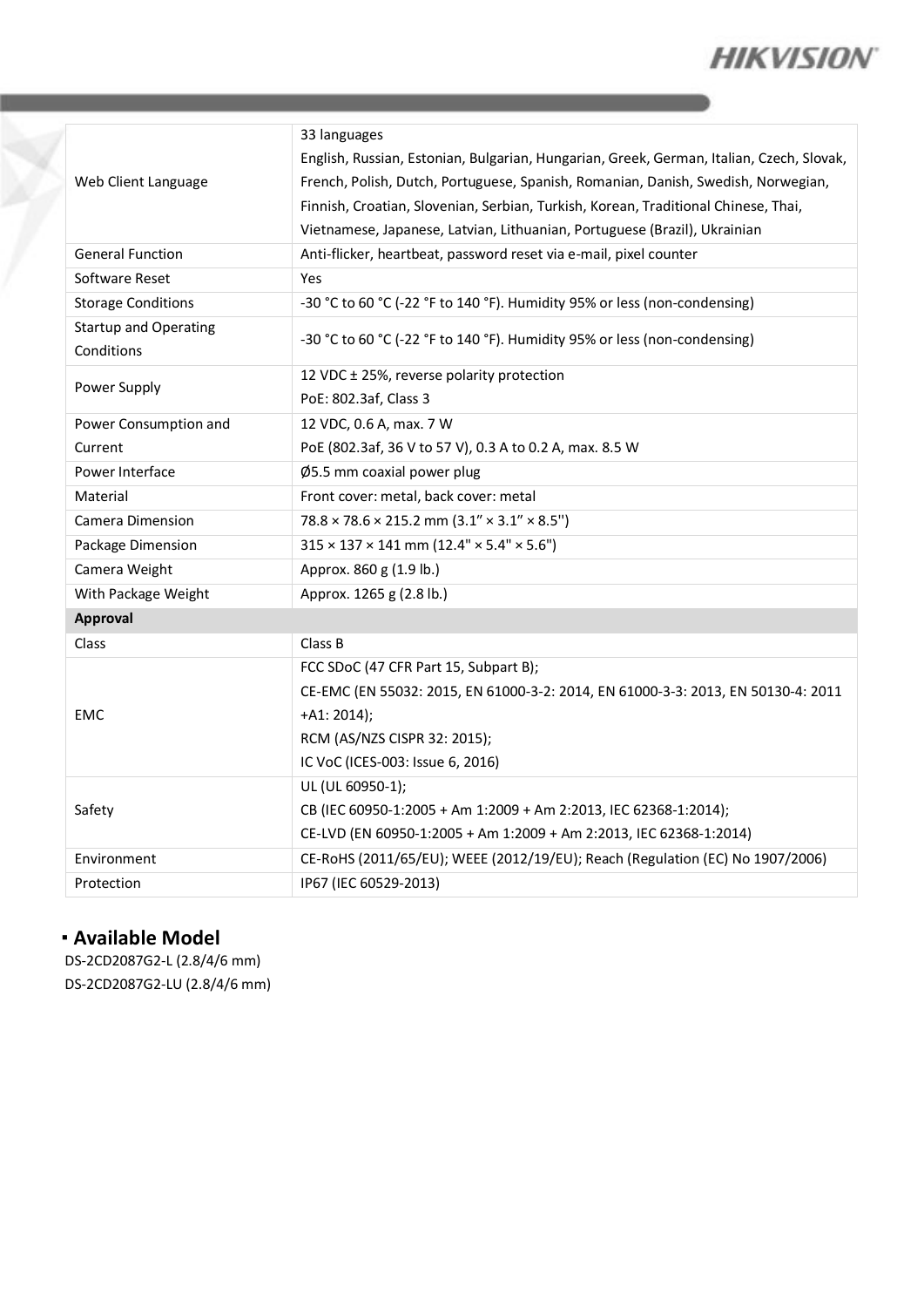

| Web Client Language                        | 33 languages                                                                             |  |  |
|--------------------------------------------|------------------------------------------------------------------------------------------|--|--|
|                                            | English, Russian, Estonian, Bulgarian, Hungarian, Greek, German, Italian, Czech, Slovak, |  |  |
|                                            | French, Polish, Dutch, Portuguese, Spanish, Romanian, Danish, Swedish, Norwegian,        |  |  |
|                                            | Finnish, Croatian, Slovenian, Serbian, Turkish, Korean, Traditional Chinese, Thai,       |  |  |
|                                            | Vietnamese, Japanese, Latvian, Lithuanian, Portuguese (Brazil), Ukrainian                |  |  |
| <b>General Function</b>                    | Anti-flicker, heartbeat, password reset via e-mail, pixel counter                        |  |  |
| Software Reset                             | Yes                                                                                      |  |  |
| <b>Storage Conditions</b>                  | -30 °C to 60 °C (-22 °F to 140 °F). Humidity 95% or less (non-condensing)                |  |  |
| <b>Startup and Operating</b><br>Conditions | -30 °C to 60 °C (-22 °F to 140 °F). Humidity 95% or less (non-condensing)                |  |  |
| Power Supply                               | 12 VDC ± 25%, reverse polarity protection                                                |  |  |
|                                            | PoE: 802.3af, Class 3                                                                    |  |  |
| Power Consumption and                      | 12 VDC, 0.6 A, max. 7 W                                                                  |  |  |
| Current                                    | PoE (802.3af, 36 V to 57 V), 0.3 A to 0.2 A, max. 8.5 W                                  |  |  |
| Power Interface                            | Ø5.5 mm coaxial power plug                                                               |  |  |
| Material                                   | Front cover: metal, back cover: metal                                                    |  |  |
| Camera Dimension                           | $78.8 \times 78.6 \times 215.2$ mm $(3.1'' \times 3.1'' \times 8.5'')$                   |  |  |
| Package Dimension                          | $315 \times 137 \times 141$ mm (12.4" $\times$ 5.4" $\times$ 5.6")                       |  |  |
| Camera Weight                              | Approx. 860 g (1.9 lb.)                                                                  |  |  |
| With Package Weight                        | Approx. 1265 g (2.8 lb.)                                                                 |  |  |
| Approval                                   |                                                                                          |  |  |
| Class                                      | Class B                                                                                  |  |  |
| EMC                                        | FCC SDoC (47 CFR Part 15, Subpart B);                                                    |  |  |
|                                            | CE-EMC (EN 55032: 2015, EN 61000-3-2: 2014, EN 61000-3-3: 2013, EN 50130-4: 2011         |  |  |
|                                            | $+A1: 2014);$                                                                            |  |  |
|                                            | RCM (AS/NZS CISPR 32: 2015);                                                             |  |  |
|                                            | IC VoC (ICES-003: Issue 6, 2016)                                                         |  |  |
| Safety                                     | UL (UL 60950-1);                                                                         |  |  |
|                                            | CB (IEC 60950-1:2005 + Am 1:2009 + Am 2:2013, IEC 62368-1:2014);                         |  |  |
|                                            | CE-LVD (EN 60950-1:2005 + Am 1:2009 + Am 2:2013, IEC 62368-1:2014)                       |  |  |
| Environment                                | CE-RoHS (2011/65/EU); WEEE (2012/19/EU); Reach (Regulation (EC) No 1907/2006)            |  |  |
| Protection                                 | IP67 (IEC 60529-2013)                                                                    |  |  |

#### **Available Model**

DS-2CD2087G2-L (2.8/4/6 mm) DS-2CD2087G2-LU (2.8/4/6 mm)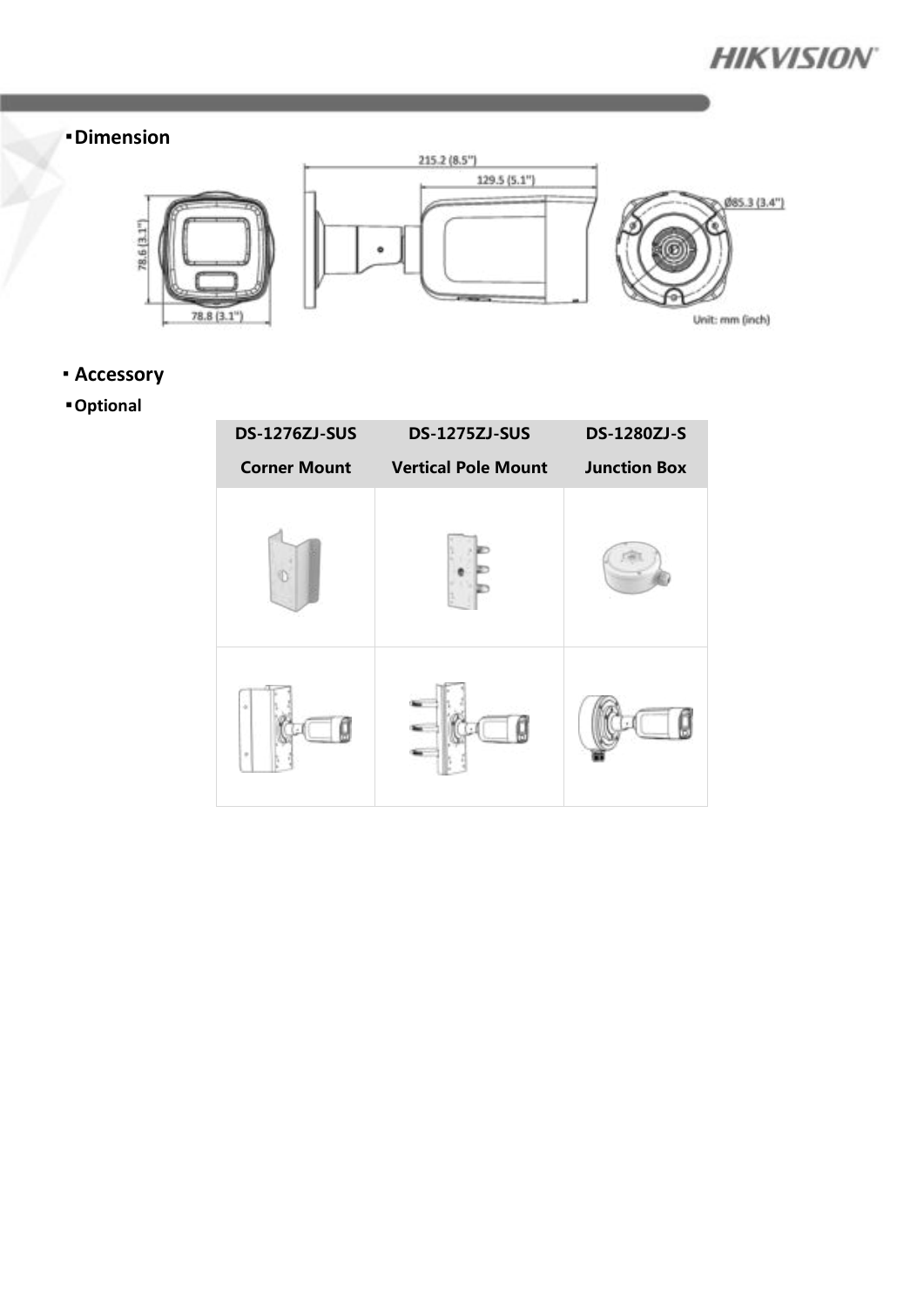

### **Dimension**



### **Accessory**

## **Optional**

| <b>DS-1276ZJ-SUS</b> | <b>DS-1275ZJ-SUS</b>       | <b>DS-1280ZJ-S</b>  |
|----------------------|----------------------------|---------------------|
| <b>Corner Mount</b>  | <b>Vertical Pole Mount</b> | <b>Junction Box</b> |
|                      |                            |                     |
| ÷                    |                            |                     |